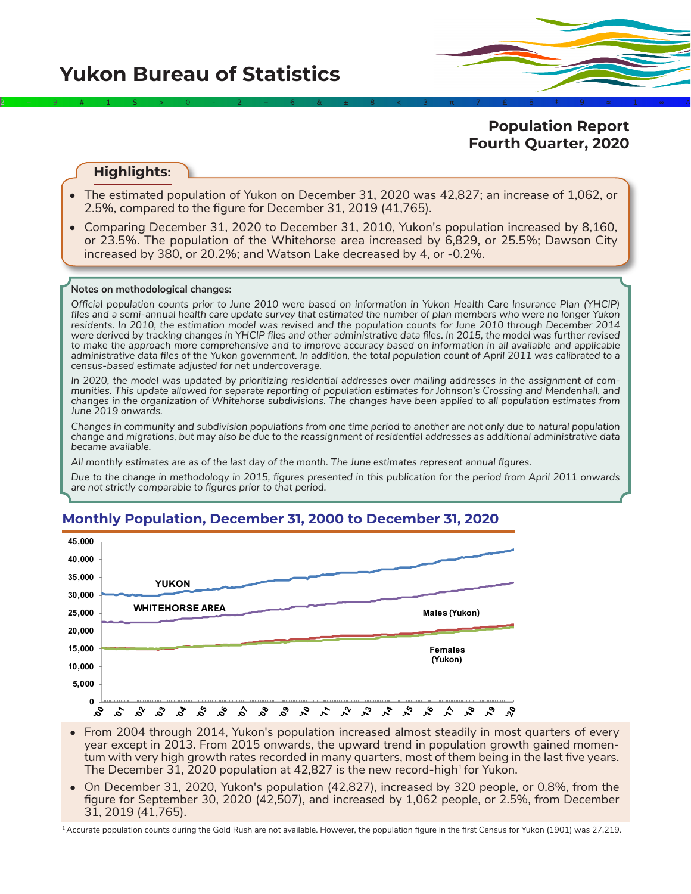**Population Report Fourth Quarter, 2020**

## **Highlights:**

• The estimated population of Yukon on December 31, 2020 was 42,827; an increase of 1,062, or 2.5%, compared to the figure for December 31, 2019 (41,765).

2÷9#1\$>0-2+6&±8<3π7£5‡9≈1∞^

• Comparing December 31, 2020 to December 31, 2010, Yukon's population increased by 8,160, or 23.5%. The population of the Whitehorse area increased by 6,829, or 25.5%; Dawson City increased by 380, or 20.2%; and Watson Lake decreased by 4, or -0.2%.

### **Notes on methodological changes:**

*Official population counts prior to June 2010 were based on information in Yukon Health Care Insurance Plan (YHCIP) files and a semi-annual health care update survey that estimated the number of plan members who were no longer Yukon residents. In 2010, the estimation model was revised and the population counts for June 2010 through December 2014 were derived by tracking changes in YHCIP files and other administrative data files. In 2015, the model was further revised*  to make the approach more comprehensive and to improve accuracy based on information in all available and applicable *administrative data files of the Yukon government. In addition, the total population count of April 2011 was calibrated to a census-based estimate adjusted for net undercoverage.*

*In 2020, the model was updated by prioritizing residential addresses over mailing addresses in the assignment of communities. This update allowed for separate reporting of population estimates for Johnson's Crossing and Mendenhall, and changes in the organization of Whitehorse subdivisions. The changes have been applied to all population estimates from June 2019 onwards.*

*Changes in community and subdivision populations from one time period to another are not only due to natural population change and migrations, but may also be due to the reassignment of residential addresses as additional administrative data became available.*

*All monthly estimates are as of the last day of the month. The June estimates represent annual figures.* 

*Due to the change in methodology in 2015, figures presented in this publication for the period from April 2011 onwards are not strictly comparable to figures prior to that period.* 



## **Monthly Population, December 31, 2000 to December 31, 2020**

- From 2004 through 2014, Yukon's population increased almost steadily in most quarters of every year except in 2013. From 2015 onwards, the upward trend in population growth gained momentum with very high growth rates recorded in many quarters, most of them being in the last five years. The December 31, 2020 population at 42,827 is the new record-high<sup>1</sup> for Yukon.
- On December 31, 2020, Yukon's population (42,827), increased by 320 people, or 0.8%, from the figure for September 30, 2020 (42,507), and increased by 1,062 people, or 2.5%, from December 31, 2019 (41,765).

<sup>1</sup>Accurate population counts during the Gold Rush are not available. However, the population figure in the first Census for Yukon (1901) was 27,219.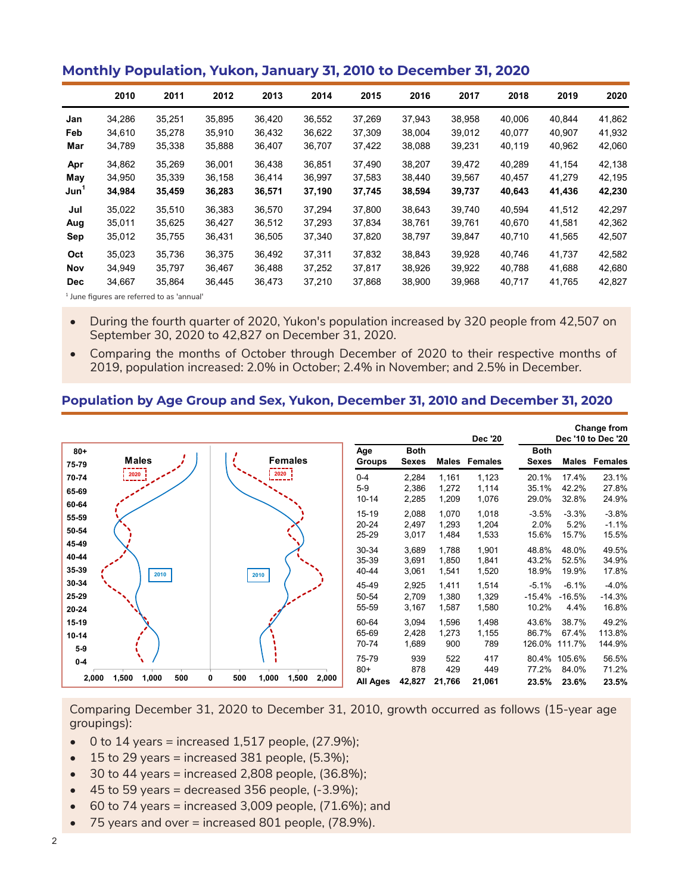## **Monthly Population, Yukon, January 31, 2010 to December 31, 2020**

|                  | 2010   | 2011                                                                                                   | 2012   | 2013   | 2014   | 2015   | 2016   | 2017   | 2018   | 2019   | 2020   |
|------------------|--------|--------------------------------------------------------------------------------------------------------|--------|--------|--------|--------|--------|--------|--------|--------|--------|
| Jan              | 34,286 | 35,251                                                                                                 | 35,895 | 36,420 | 36,552 | 37,269 | 37,943 | 38,958 | 40,006 | 40,844 | 41,862 |
| Feb              | 34,610 | 35,278                                                                                                 | 35,910 | 36,432 | 36,622 | 37,309 | 38,004 | 39,012 | 40,077 | 40.907 | 41,932 |
| Mar              | 34,789 | 35,338                                                                                                 | 35,888 | 36,407 | 36,707 | 37,422 | 38,088 | 39,231 | 40,119 | 40,962 | 42,060 |
| Apr              | 34,862 | 35.269                                                                                                 | 36.001 | 36.438 | 36.851 | 37.490 | 38,207 | 39,472 | 40.289 | 41.154 | 42,138 |
| May              | 34,950 | 35,339                                                                                                 | 36,158 | 36,414 | 36.997 | 37,583 | 38.440 | 39,567 | 40,457 | 41,279 | 42,195 |
| Jun <sup>1</sup> | 34,984 | 35,459                                                                                                 | 36,283 | 36,571 | 37,190 | 37,745 | 38,594 | 39,737 | 40,643 | 41,436 | 42,230 |
| Jul              | 35.022 | 35.510                                                                                                 | 36,383 | 36.570 | 37.294 | 37.800 | 38.643 | 39.740 | 40.594 | 41.512 | 42,297 |
| Aug              | 35,011 | 35,625                                                                                                 | 36,427 | 36,512 | 37,293 | 37,834 | 38,761 | 39,761 | 40,670 | 41,581 | 42,362 |
| Sep              | 35,012 | 35,755                                                                                                 | 36,431 | 36,505 | 37,340 | 37,820 | 38,797 | 39,847 | 40,710 | 41,565 | 42,507 |
| Oct              | 35.023 | 35.736                                                                                                 | 36.375 | 36.492 | 37.311 | 37.832 | 38,843 | 39.928 | 40,746 | 41,737 | 42,582 |
| Nov              | 34,949 | 35,797                                                                                                 | 36,467 | 36,488 | 37,252 | 37,817 | 38,926 | 39,922 | 40,788 | 41,688 | 42,680 |
| <b>Dec</b>       | 34,667 | 35,864                                                                                                 | 36,445 | 36,473 | 37,210 | 37,868 | 38,900 | 39,968 | 40,717 | 41,765 | 42,827 |
|                  |        | $\mathbf{f}$ then a $\mathbf{g}$ consider a set of $\mathbf{f}$ and the set of the set of $\mathbf{f}$ |        |        |        |        |        |        |        |        |        |

<sup>1</sup> June figures are referred to as 'annual'

- During the fourth quarter of 2020, Yukon's population increased by 320 people from 42,507 on September 30, 2020 to 42,827 on December 31, 2020.
- Comparing the months of October through December of 2020 to their respective months of 2019, population increased: 2.0% in October; 2.4% in November; and 2.5% in December.

### **Population by Age Group and Sex, Yukon, December 31, 2010 and December 31, 2020**

|                         |                       |                                     |                                 |                             |                         | <b>Dec '20</b>          |                              |                              | <b>Change from</b><br>Dec '10 to Dec '20 |
|-------------------------|-----------------------|-------------------------------------|---------------------------------|-----------------------------|-------------------------|-------------------------|------------------------------|------------------------------|------------------------------------------|
| $80 +$<br>75-79         | <b>Males</b>          | <b>Females</b>                      | Age<br><b>Groups</b>            | <b>Both</b><br><b>Sexes</b> | Males                   | <b>Females</b>          | <b>Both</b><br><b>Sexes</b>  | Males                        | Females                                  |
| 70-74<br>65-69          | 2020                  | 2020                                | $0 - 4$<br>$5 - 9$<br>$10 - 14$ | 2,284<br>2,386<br>2,285     | 1,161<br>1,272<br>1,209 | 1,123<br>1,114<br>1,076 | 20.1%<br>35.1%<br>29.0%      | 17.4%<br>42.2%<br>32.8%      | 23.1%<br>27.8%<br>24.9%                  |
| 60-64<br>55-59<br>50-54 |                       |                                     | 15-19<br>20-24                  | 2,088<br>2,497              | 1,070<br>1,293          | 1,018<br>1,204          | $-3.5%$<br>2.0%              | $-3.3%$<br>5.2%              | $-3.8%$<br>$-1.1%$                       |
| 45-49<br>40-44          |                       |                                     | 25-29<br>30-34<br>35-39         | 3,017<br>3,689<br>3,691     | 1,484<br>1,788<br>1,850 | 1,533<br>1,901<br>1,841 | 15.6%<br>48.8%<br>43.2%      | 15.7%<br>48.0%<br>52.5%      | 15.5%<br>49.5%<br>34.9%                  |
| 35-39<br>30-34<br>25-29 | 2010                  | 2010                                | 40-44<br>45-49<br>50-54         | 3,061<br>2,925<br>2,709     | 1,541<br>1,411<br>1,380 | 1,520<br>1,514<br>1,329 | 18.9%<br>$-5.1%$<br>$-15.4%$ | 19.9%<br>$-6.1%$<br>$-16.5%$ | 17.8%<br>$-4.0%$<br>$-14.3%$             |
| 20-24<br>$15-19$        |                       |                                     | 55-59<br>60-64<br>65-69         | 3,167<br>3,094<br>2,428     | 1,587<br>1,596<br>1,273 | 1,580<br>1,498<br>1,155 | 10.2%<br>43.6%<br>86.7%      | 4.4%<br>38.7%<br>67.4%       | 16.8%<br>49.2%<br>113.8%                 |
| $10 - 14$<br>$5-9$      |                       |                                     | 70-74<br>75-79                  | 1,689<br>939                | 900<br>522              | 789<br>417              | 126.0%<br>80.4%              | 111.7%<br>105.6%             | 144.9%<br>56.5%                          |
| $0-4$<br>2,000          | 1,500<br>500<br>1,000 | 500<br>2,000<br>1,000<br>1,500<br>0 | $80+$<br>All Ages               | 878<br>42,827               | 429<br>21,766           | 449<br>21,061           | 77.2%<br>23.5%               | 84.0%<br>23.6%               | 71.2%<br>23.5%                           |

Comparing December 31, 2020 to December 31, 2010, growth occurred as follows (15-year age groupings):

- $\bullet$  0 to 14 years = increased 1,517 people, (27.9%);
- $\bullet$  15 to 29 years = increased 381 people, (5.3%);
- $\bullet$  30 to 44 years = increased 2,808 people, (36.8%);
- $\bullet$  45 to 59 years = decreased 356 people,  $(-3.9\%)$ ;
- $\bullet$  60 to 74 years = increased 3,009 people, (71.6%); and
- 75 years and over = increased 801 people, (78.9%).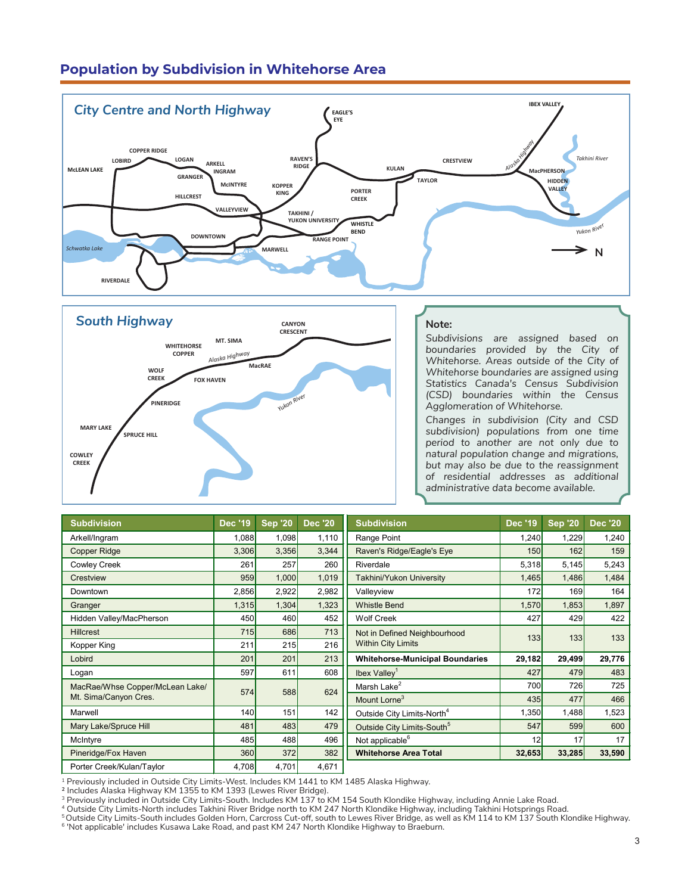# **Population by Subdivision in Whitehorse Area**





#### **Note:**

*Subdivisions are assigned based on*  **boundaries** provided by the City of *Whitehorse. Areas outside of the City of*  **Whitehorse boundaries are assigned using |** Statistics Canada's Census Subdivision *(CSD) boundaries within the Census Agglomeration of Whitehorse.*

**GRANGER**

Changes in subdivision (City and CSD *subdivision) populations from one time period to another are not only due to natural population change and migrations, but may also be due to the reassignment of residential addresses as additional administrative data become available.* 

| <b>Subdivision</b>              | <b>Dec '19</b> | <b>Sep '20</b> | <b>Dec '20</b> | <b>Subdivision</b>                     | <b>Dec '19</b> | <b>Sep '20</b> | <b>Dec '20</b> |
|---------------------------------|----------------|----------------|----------------|----------------------------------------|----------------|----------------|----------------|
| Arkell/Ingram                   | 1,088          | 1,098          | 1,110          | Range Point                            | 1,240          | 1,229          | 1,240          |
| <b>Copper Ridge</b>             | 3,306          | 3,356          | 3,344          | Raven's Ridge/Eagle's Eye              | 150            | 162            | 159            |
| <b>Cowley Creek</b>             | 261            | 257            | 260            | Riverdale                              | 5,318          | 5,145          | 5,243          |
| Crestview                       | 959            | 1,000          | 1,019          | <b>Takhini/Yukon University</b>        | 1,465          | 1,486          | 1,484          |
| Downtown                        | 2,856          | 2,922          | 2,982          | Valleyview                             | 172            | 169            | 164            |
| Granger                         | 1,315          | 1,304          | 1,323          | <b>Whistle Bend</b>                    | 1,570          | 1,853          | 1,897          |
| Hidden Valley/MacPherson        | 450            | 460            | 452            | <b>Wolf Creek</b>                      | 427            | 429            | 422            |
| <b>Hillcrest</b>                | 715            | 686            | 713            | Not in Defined Neighbourhood           | 133            | 133            | 133            |
| Kopper King                     | 211            | 215            | 216            | <b>Within City Limits</b>              |                |                |                |
| Lobird                          | 201            | 201            | 213            | <b>Whitehorse-Municipal Boundaries</b> | 29,182         | 29,499         | 29,776         |
| Logan                           | 597            | 611            | 608            | Ibex Valley <sup>1</sup>               | 427            | 479            | 483            |
| MacRae/Whse Copper/McLean Lake/ | 574            | 588            | 624            | Marsh Lake <sup>2</sup>                | 700            | 726            | 725            |
| Mt. Sima/Canyon Cres.           |                |                |                | Mount Lorne <sup>3</sup>               | 435            | 477            | 466            |
| Marwell                         | 140            | 151            | 142            | Outside City Limits-North <sup>4</sup> | 1,350          | 1,488          | 1,523          |
| Mary Lake/Spruce Hill           | 481            | 483            | 479            | Outside City Limits-South <sup>5</sup> | 547            | 599            | 600            |
| McIntyre                        | 485            | 488            | 496            | Not applicable <sup>6</sup>            | 12             | 17             | 17             |
| Pineridge/Fox Haven             | 360            | 372            | 382            | <b>Whitehorse Area Total</b>           | 32,653         | 33,285         | 33,590         |
| Porter Creek/Kulan/Taylor       | 4,708          | 4,701          | 4,671          |                                        |                |                |                |

<sup>1</sup> Previously included in Outside City Limits-West. Includes KM 1441 to KM 1485 Alaska Highway.

2 Includes Alaska Highway KM 1355 to KM 1393 (Lewes River Bridge).

 $^3$  Previously included in Outside City Limits-South. Includes KM 137 to KM 154 South Klondike Highway, including Annie Lake Road.

<sup>4</sup> Outside City Limits-North includes Takhini River Bridge north to KM 247 North Klondike Highway, including Takhini Hotsprings Road.

<sup>5</sup>Outside City Limits-South includes Golden Horn, Carcross Cut-off, south to Lewes River Bridge, as well as KM 114 to KM 137 South Klondike Highway.<br><sup>6</sup> 'Not applicable' includes Kusawa Lake Road, and past KM 247 North Kl

**TAKHINI / YUKON UNIVERSITY**

**KOPPER**